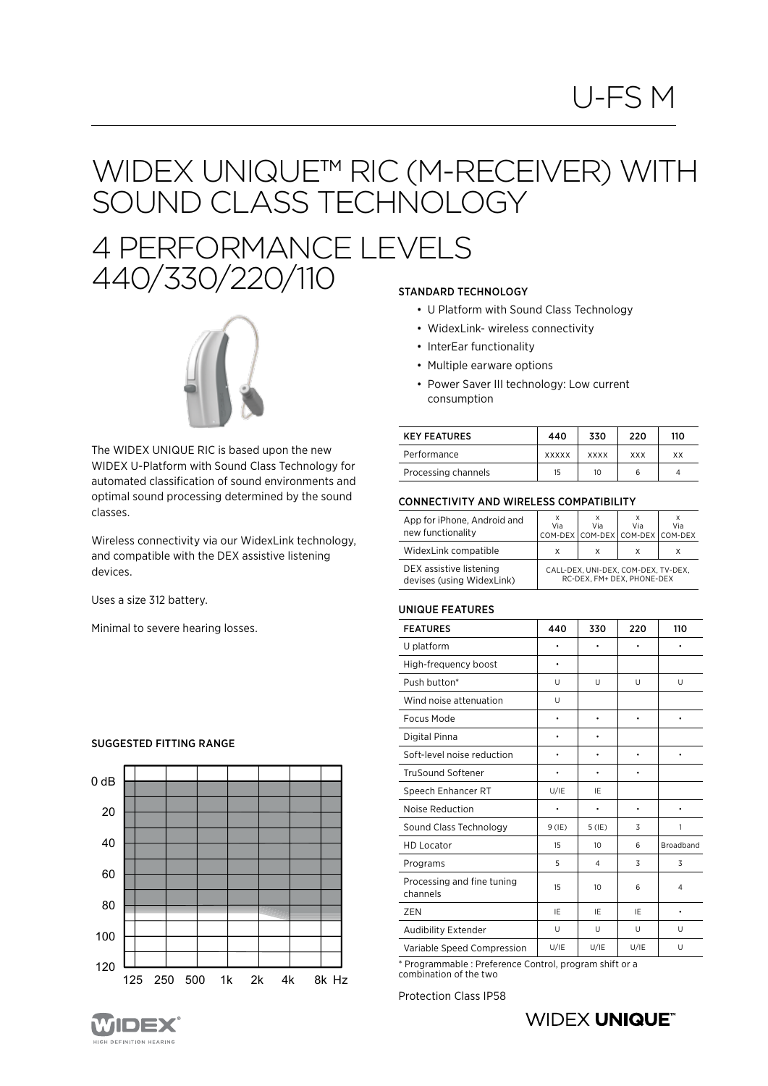# U-FS M

### WIDEX UNIQUE™ RIC (M-RECEIVER) WITH SOUND CLASS TECHNOLOGY

## 4 PERFORMANCE LEVELS 440/330/220/110 STANDARD TECHNOLOGY



The WIDEX UNIQUE RIC is based upon the new WIDEX U-Platform with Sound Class Technology for automated classification of sound environments and optimal sound processing determined by the sound classes.

Wireless connectivity via our WidexLink technology, and compatible with the DEX assistive listening devices.

Uses a size 312 battery.

Minimal to severe hearing losses.

### SUGGESTED FITTING RANGE



- U Platform with Sound Class Technology
- WidexLink- wireless connectivity
- InterEar functionality
- Multiple earware options
- Power Saver III technology: Low current consumption

| <b>KEY FEATURES</b> | 440          | 330         | 220        | 110 |
|---------------------|--------------|-------------|------------|-----|
| Performance         | <b>XXXXX</b> | <b>XXXX</b> | <b>XXX</b> | ХX  |
| Processing channels | 15           | 10          | 6          | Δ   |

#### CONNECTIVITY AND WIRELESS COMPATIBILITY

| App for iPhone, Android and<br>new functionality     | Via                                                               | Via | Via<br>COM-DEX COM-DEX COM-DEX COM-DEX | Via |
|------------------------------------------------------|-------------------------------------------------------------------|-----|----------------------------------------|-----|
| WidexLink compatible                                 | х                                                                 | x   | х                                      |     |
| DEX assistive listening<br>devises (using WidexLink) | CALL-DEX, UNI-DEX, COM-DEX, TV-DEX,<br>RC-DEX. FM+ DEX. PHONE-DEX |     |                                        |     |

#### UNIQUE FEATURES

| <b>FEATURES</b>                        | 440      | 330            | 220       | 110            |
|----------------------------------------|----------|----------------|-----------|----------------|
| U platform                             | ٠        | ٠              | $\bullet$ | $\bullet$      |
| High-frequency boost                   | ٠        |                |           |                |
| Push button*                           | U        | U              | U         | U              |
| Wind noise attenuation                 | U        |                |           |                |
| Focus Mode                             | ۰        | ٠              | $\bullet$ | ۰              |
| Digital Pinna                          | ٠        | ٠              |           |                |
| Soft-level noise reduction             | ٠        | ٠              | $\bullet$ | ۰              |
| <b>TruSound Softener</b>               | ٠        | ٠              | $\bullet$ |                |
| Speech Enhancer RT                     | U/IE     | IE             |           |                |
| Noise Reduction                        | ٠        | ٠              | $\bullet$ |                |
| Sound Class Technology                 | $9$ (IE) | $5$ (IE)       | 3         | 1              |
| <b>HD Locator</b>                      | 15       | 10             | 6         | Broadband      |
| Programs                               | 5        | $\overline{4}$ | 3         | 3              |
| Processing and fine tuning<br>channels | 15       | 10             | 6         | $\overline{4}$ |
| ZEN                                    | IE       | IE             | IE        |                |
| Audibility Extender                    | U        | U              | U         | U              |
| Variable Speed Compression             | U/IE     | U/IE           | U/IE      | U              |

\* Programmable : Preference Control, program shift or a combination of the two

Protection Class IP58

### **WIDEX UNIQUE®**